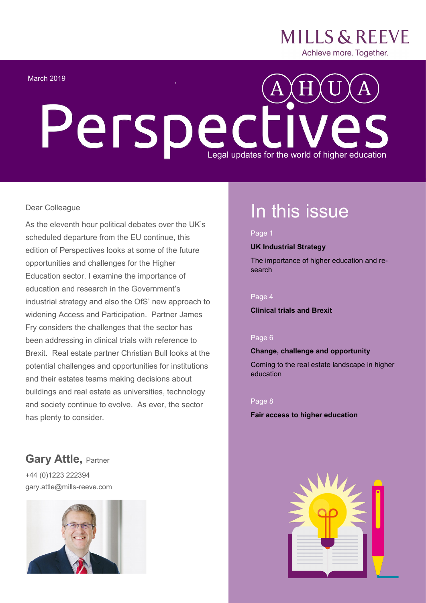

#### March 2019

# **Perspectives**

#### Dear Colleague

As the eleventh hour political debates over the UK's scheduled departure from the EU continue, this edition of Perspectives looks at some of the future opportunities and challenges for the Higher Education sector. I examine the importance of education and research in the Government's industrial strategy and also the OfS' new approach to widening Access and Participation. Partner James Fry considers the challenges that the sector has been addressing in clinical trials with reference to Brexit. Real estate partner Christian Bull looks at the potential challenges and opportunities for institutions and their estates teams making decisions about buildings and real estate as universities, technology and society continue to evolve. As ever, the sector has plenty to consider.

### In this issue

#### Page 1

#### **UK Industrial Strategy**

The importance of higher education and research

#### Page 4

**Clinical trials and Brexit**

#### Page 6

#### **Change, challenge and opportunity**

Coming to the real estate landscape in higher education

#### Page 8

#### **Fair access to higher education**

#### **Gary Attle,** Partner +44 (0)1223 222394

gary.attle@mills-reeve.com

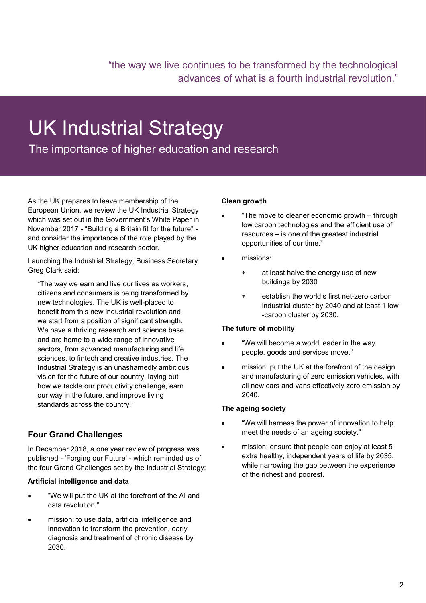"the way we live continues to be transformed by the technological advances of what is a fourth industrial revolution."

## UK Industrial Strategy

The importance of higher education and research

As the UK prepares to leave membership of the European Union, we review the UK Industrial Strategy which was set out in the Government's White Paper in November 2017 - "Building a Britain fit for the future" and consider the importance of the role played by the UK higher education and research sector.

Launching the Industrial Strategy, Business Secretary Greg Clark said:

"The way we earn and live our lives as workers, citizens and consumers is being transformed by new technologies. The UK is well-placed to benefit from this new industrial revolution and we start from a position of significant strength. We have a thriving research and science base and are home to a wide range of innovative sectors, from advanced manufacturing and life sciences, to fintech and creative industries. The Industrial Strategy is an unashamedly ambitious vision for the future of our country, laying out how we tackle our productivity challenge, earn our way in the future, and improve living standards across the country."

#### **Four Grand Challenges**

In December 2018, a one year review of progress was published - 'Forging our Future' - which reminded us of the four Grand Challenges set by the Industrial Strategy:

#### **Artificial intelligence and data**

- "We will put the UK at the forefront of the AI and data revolution."
- mission: to use data, artificial intelligence and innovation to transform the prevention, early diagnosis and treatment of chronic disease by 2030.

#### **Clean growth**

- "The move to cleaner economic growth through low carbon technologies and the efficient use of resources – is one of the greatest industrial opportunities of our time."
- missions:
	- at least halve the energy use of new buildings by 2030
	- establish the world's first net-zero carbon industrial cluster by 2040 and at least 1 low -carbon cluster by 2030.

#### **The future of mobility**

- "We will become a world leader in the way people, goods and services move."
- mission: put the UK at the forefront of the design and manufacturing of zero emission vehicles, with all new cars and vans effectively zero emission by 2040.

#### **The ageing society**

- "We will harness the power of innovation to help meet the needs of an ageing society."
- mission: ensure that people can enjoy at least 5 extra healthy, independent years of life by 2035, while narrowing the gap between the experience of the richest and poorest.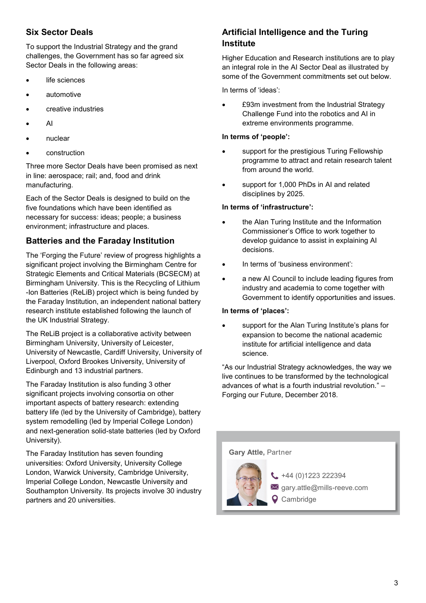#### **Six Sector Deals**

To support the Industrial Strategy and the grand challenges, the Government has so far agreed six Sector Deals in the following areas:

- life sciences
- automotive
- creative industries
- AI
- nuclear
- construction

Three more Sector Deals have been promised as next in line: aerospace; rail; and, food and drink manufacturing.

Each of the Sector Deals is designed to build on the five foundations which have been identified as necessary for success: ideas; people; a business environment; infrastructure and places.

#### **Batteries and the Faraday Institution**

The 'Forging the Future' review of progress highlights a significant project involving the Birmingham Centre for Strategic Elements and Critical Materials (BCSECM) at Birmingham University. This is the Recycling of Lithium -Ion Batteries (ReLiB) project which is being funded by the Faraday Institution, an independent national battery research institute established following the launch of the UK Industrial Strategy.

The ReLiB project is a collaborative activity between Birmingham University, University of Leicester, University of Newcastle, Cardiff University, University of Liverpool, Oxford Brookes University, University of Edinburgh and 13 industrial partners.

The Faraday Institution is also funding 3 other significant projects involving consortia on other important aspects of battery research: extending battery life (led by the University of Cambridge), battery system remodelling (led by Imperial College London) and next-generation solid-state batteries (led by Oxford University).

The Faraday Institution has seven founding universities: Oxford University, University College London, Warwick University, Cambridge University, Imperial College London, Newcastle University and Southampton University. Its projects involve 30 industry partners and 20 universities.

#### **Artificial Intelligence and the Turing Institute**

Higher Education and Research institutions are to play an integral role in the AI Sector Deal as illustrated by some of the Government commitments set out below.

In terms of 'ideas':

 £93m investment from the Industrial Strategy Challenge Fund into the robotics and AI in extreme environments programme.

#### **In terms of 'people':**

- support for the prestigious Turing Fellowship programme to attract and retain research talent from around the world.
- support for 1,000 PhDs in AI and related disciplines by 2025.

#### **In terms of 'infrastructure':**

- the Alan Turing Institute and the Information Commissioner's Office to work together to develop guidance to assist in explaining AI decisions.
- In terms of 'business environment':
- a new AI Council to include leading figures from industry and academia to come together with Government to identify opportunities and issues.

#### **In terms of 'places':**

 support for the Alan Turing Institute's plans for expansion to become the national academic institute for artificial intelligence and data science.

"As our Industrial Strategy acknowledges, the way we live continues to be transformed by the technological advances of what is a fourth industrial revolution." – Forging our Future, December 2018.

## **Gary Attle,** Partner

 $\leftarrow$  +44 (0)1223 222394 gary.attle@mills-reeve.com **Q** Cambridge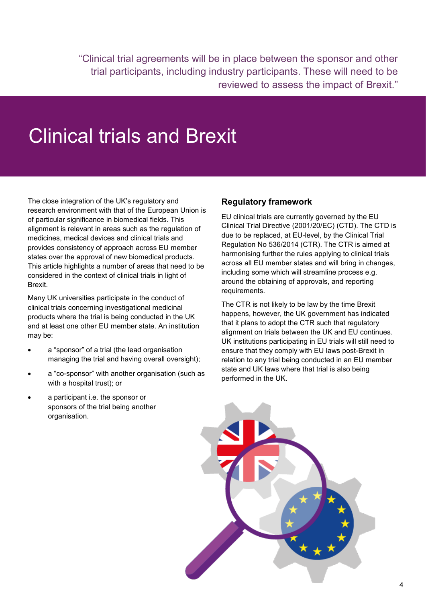"Clinical trial agreements will be in place between the sponsor and other trial participants, including industry participants. These will need to be reviewed to assess the impact of Brexit."

## Clinical trials and Brexit

The close integration of the UK's regulatory and research environment with that of the European Union is of particular significance in biomedical fields. This alignment is relevant in areas such as the regulation of medicines, medical devices and clinical trials and provides consistency of approach across EU member states over the approval of new biomedical products. This article highlights a number of areas that need to be considered in the context of clinical trials in light of Brexit.

Many UK universities participate in the conduct of clinical trials concerning investigational medicinal products where the trial is being conducted in the UK and at least one other EU member state. An institution may be:

- a "sponsor" of a trial (the lead organisation managing the trial and having overall oversight);
- a "co-sponsor" with another organisation (such as with a hospital trust); or
- a participant i.e. the sponsor or sponsors of the trial being another organisation.

#### **Regulatory framework**

EU clinical trials are currently governed by the EU Clinical Trial Directive (2001/20/EC) (CTD). The CTD is due to be replaced, at EU-level, by the Clinical Trial Regulation No 536/2014 (CTR). The CTR is aimed at harmonising further the rules applying to clinical trials across all EU member states and will bring in changes, including some which will streamline process e.g. around the obtaining of approvals, and reporting requirements.

The CTR is not likely to be law by the time Brexit happens, however, the UK government has indicated that it plans to adopt the CTR such that regulatory alignment on trials between the UK and EU continues. UK institutions participating in EU trials will still need to ensure that they comply with EU laws post-Brexit in relation to any trial being conducted in an EU member state and UK laws where that trial is also being performed in the UK.

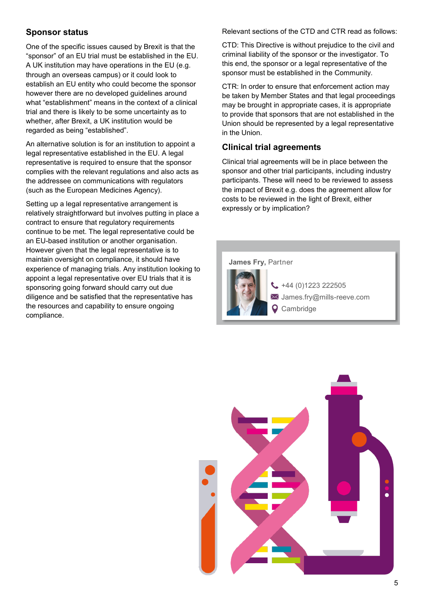#### **Sponsor status**

One of the specific issues caused by Brexit is that the "sponsor" of an EU trial must be established in the EU. A UK institution may have operations in the EU (e.g. through an overseas campus) or it could look to establish an EU entity who could become the sponsor however there are no developed guidelines around what "establishment" means in the context of a clinical trial and there is likely to be some uncertainty as to whether, after Brexit, a UK institution would be regarded as being "established".

An alternative solution is for an institution to appoint a legal representative established in the EU. A legal representative is required to ensure that the sponsor complies with the relevant regulations and also acts as the addressee on communications with regulators (such as the European Medicines Agency).

Setting up a legal representative arrangement is relatively straightforward but involves putting in place a contract to ensure that regulatory requirements continue to be met. The legal representative could be an EU-based institution or another organisation. However given that the legal representative is to maintain oversight on compliance, it should have experience of managing trials. Any institution looking to appoint a legal representative over EU trials that it is sponsoring going forward should carry out due diligence and be satisfied that the representative has the resources and capability to ensure ongoing compliance.

Relevant sections of the CTD and CTR read as follows:

CTD: This Directive is without prejudice to the civil and criminal liability of the sponsor or the investigator. To this end, the sponsor or a legal representative of the sponsor must be established in the Community.

CTR: In order to ensure that enforcement action may be taken by Member States and that legal proceedings may be brought in appropriate cases, it is appropriate to provide that sponsors that are not established in the Union should be represented by a legal representative in the Union.

#### **Clinical trial agreements**

Clinical trial agreements will be in place between the sponsor and other trial participants, including industry participants. These will need to be reviewed to assess the impact of Brexit e.g. does the agreement allow for costs to be reviewed in the light of Brexit, either expressly or by implication?



 $+44(0)1223222505$ James.fry@mills-reeve.com **Q** Cambridge

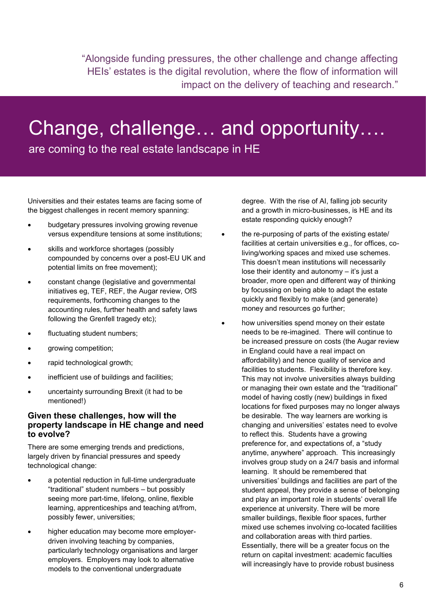"Alongside funding pressures, the other challenge and change affecting HEIs' estates is the digital revolution, where the flow of information will impact on the delivery of teaching and research."

## Change, challenge… and opportunity….

are coming to the real estate landscape in HE

Universities and their estates teams are facing some of the biggest challenges in recent memory spanning:

- budgetary pressures involving growing revenue versus expenditure tensions at some institutions;
- skills and workforce shortages (possibly compounded by concerns over a post-EU UK and potential limits on free movement);
- constant change (legislative and governmental initiatives eg, TEF, REF, the Augar review, OfS requirements, forthcoming changes to the accounting rules, further health and safety laws following the Grenfell tragedy etc);
- fluctuating student numbers;
- growing competition;
- rapid technological growth;
- inefficient use of buildings and facilities;
- uncertainty surrounding Brexit (it had to be mentioned!)

#### **Given these challenges, how will the property landscape in HE change and need to evolve?**

There are some emerging trends and predictions, largely driven by financial pressures and speedy technological change:

- a potential reduction in full-time undergraduate "traditional" student numbers – but possibly seeing more part-time, lifelong, online, flexible learning, apprenticeships and teaching at/from, possibly fewer, universities;
- higher education may become more employerdriven involving teaching by companies, particularly technology organisations and larger employers. Employers may look to alternative models to the conventional undergraduate

degree. With the rise of AI, falling job security and a growth in micro-businesses, is HE and its estate responding quickly enough?

- the re-purposing of parts of the existing estate/ facilities at certain universities e.g., for offices, coliving/working spaces and mixed use schemes. This doesn't mean institutions will necessarily lose their identity and autonomy – it's just a broader, more open and different way of thinking by focussing on being able to adapt the estate quickly and flexibly to make (and generate) money and resources go further;
- how universities spend money on their estate needs to be re-imagined. There will continue to be increased pressure on costs (the Augar review in England could have a real impact on affordability) and hence quality of service and facilities to students. Flexibility is therefore key. This may not involve universities always building or managing their own estate and the "traditional" model of having costly (new) buildings in fixed locations for fixed purposes may no longer always be desirable. The way learners are working is changing and universities' estates need to evolve to reflect this. Students have a growing preference for, and expectations of, a "study anytime, anywhere" approach. This increasingly involves group study on a 24/7 basis and informal learning. It should be remembered that universities' buildings and facilities are part of the student appeal, they provide a sense of belonging and play an important role in students' overall life experience at university. There will be more smaller buildings, flexible floor spaces, further mixed use schemes involving co-located facilities and collaboration areas with third parties. Essentially, there will be a greater focus on the return on capital investment: academic faculties will increasingly have to provide robust business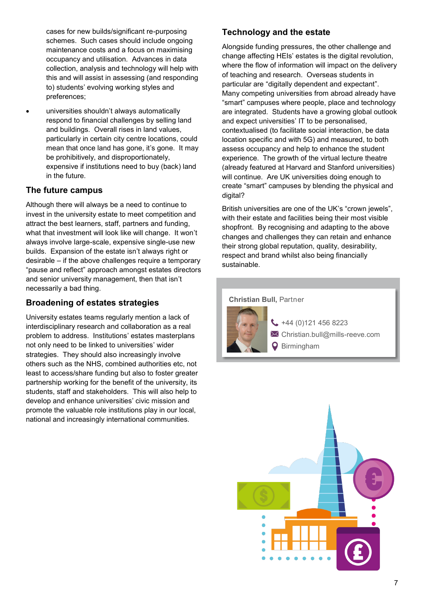cases for new builds/significant re-purposing schemes. Such cases should include ongoing maintenance costs and a focus on maximising occupancy and utilisation. Advances in data collection, analysis and technology will help with this and will assist in assessing (and responding to) students' evolving working styles and preferences;

 universities shouldn't always automatically respond to financial challenges by selling land and buildings. Overall rises in land values, particularly in certain city centre locations, could mean that once land has gone, it's gone. It may be prohibitively, and disproportionately, expensive if institutions need to buy (back) land in the future.

#### **The future campus**

Although there will always be a need to continue to invest in the university estate to meet competition and attract the best learners, staff, partners and funding, what that investment will look like will change. It won't always involve large-scale, expensive single-use new builds. Expansion of the estate isn't always right or desirable – if the above challenges require a temporary "pause and reflect" approach amongst estates directors and senior university management, then that isn't necessarily a bad thing.

#### **Broadening of estates strategies**

University estates teams regularly mention a lack of interdisciplinary research and collaboration as a real problem to address. Institutions' estates masterplans not only need to be linked to universities' wider strategies. They should also increasingly involve others such as the NHS, combined authorities etc, not least to access/share funding but also to foster greater partnership working for the benefit of the university, its students, staff and stakeholders. This will also help to develop and enhance universities' civic mission and promote the valuable role institutions play in our local, national and increasingly international communities.

#### **Technology and the estate**

Alongside funding pressures, the other challenge and change affecting HEIs' estates is the digital revolution, where the flow of information will impact on the delivery of teaching and research. Overseas students in particular are "digitally dependent and expectant". Many competing universities from abroad already have "smart" campuses where people, place and technology are integrated. Students have a growing global outlook and expect universities' IT to be personalised, contextualised (to facilitate social interaction, be data location specific and with 5G) and measured, to both assess occupancy and help to enhance the student experience. The growth of the virtual lecture theatre (already featured at Harvard and Stanford universities) will continue. Are UK universities doing enough to create "smart" campuses by blending the physical and digital?

British universities are one of the UK's "crown jewels", with their estate and facilities being their most visible shopfront. By recognising and adapting to the above changes and challenges they can retain and enhance their strong global reputation, quality, desirability, respect and brand whilst also being financially sustainable.

#### **Christian Bull,** Partner



 $\bigcup$  +44 (0)121 456 8223  $\boxtimes$  Christian.bull@mills-reeve.com **Q** Birmingham

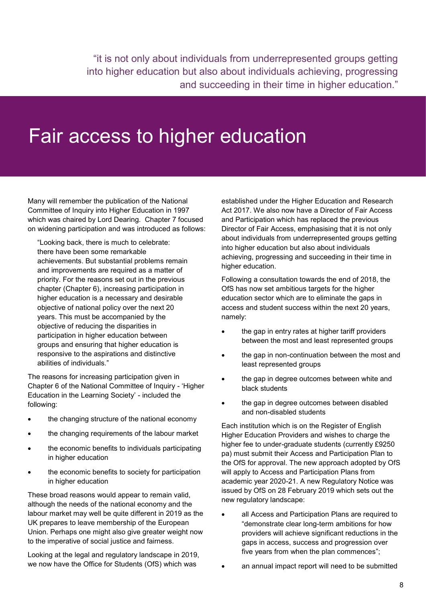"it is not only about individuals from underrepresented groups getting into higher education but also about individuals achieving, progressing and succeeding in their time in higher education."

## Fair access to higher education

Many will remember the publication of the National Committee of Inquiry into Higher Education in 1997 which was chaired by Lord Dearing. Chapter 7 focused on widening participation and was introduced as follows:

"Looking back, there is much to celebrate: there have been some remarkable achievements. But substantial problems remain and improvements are required as a matter of priority. For the reasons set out in the previous chapter (Chapter 6), increasing participation in higher education is a necessary and desirable objective of national policy over the next 20 years. This must be accompanied by the objective of reducing the disparities in participation in higher education between groups and ensuring that higher education is responsive to the aspirations and distinctive abilities of individuals."

The reasons for increasing participation given in Chapter 6 of the National Committee of Inquiry - 'Higher Education in the Learning Society' - included the following:

- the changing structure of the national economy
- the changing requirements of the labour market
- the economic benefits to individuals participating in higher education
- the economic benefits to society for participation in higher education

These broad reasons would appear to remain valid, although the needs of the national economy and the labour market may well be quite different in 2019 as the UK prepares to leave membership of the European Union. Perhaps one might also give greater weight now to the imperative of social justice and fairness.

Looking at the legal and regulatory landscape in 2019, we now have the Office for Students (OfS) which was

established under the Higher Education and Research Act 2017. We also now have a Director of Fair Access and Participation which has replaced the previous Director of Fair Access, emphasising that it is not only about individuals from underrepresented groups getting into higher education but also about individuals achieving, progressing and succeeding in their time in higher education.

Following a consultation towards the end of 2018, the OfS has now set ambitious targets for the higher education sector which are to eliminate the gaps in access and student success within the next 20 years, namely:

- the gap in entry rates at higher tariff providers between the most and least represented groups
- the gap in non-continuation between the most and least represented groups
- the gap in degree outcomes between white and black students
- the gap in degree outcomes between disabled and non-disabled students

Each institution which is on the Register of English Higher Education Providers and wishes to charge the higher fee to under-graduate students (currently £9250 pa) must submit their Access and Participation Plan to the OfS for approval. The new approach adopted by OfS will apply to Access and Participation Plans from academic year 2020-21. A new Regulatory Notice was issued by OfS on 28 February 2019 which sets out the new regulatory landscape:

- all Access and Participation Plans are required to "demonstrate clear long-term ambitions for how providers will achieve significant reductions in the gaps in access, success and progression over five years from when the plan commences";
- an annual impact report will need to be submitted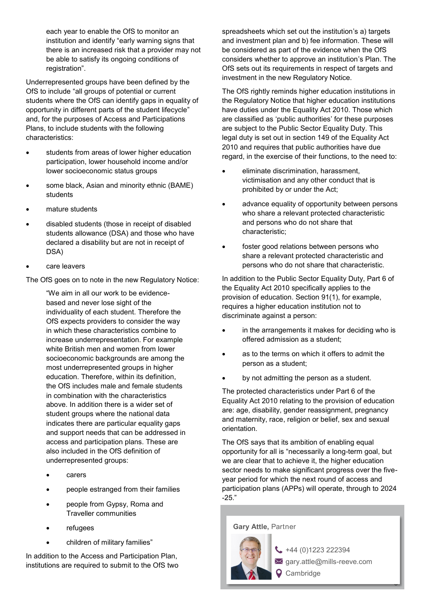each year to enable the OfS to monitor an institution and identify "early warning signs that there is an increased risk that a provider may not be able to satisfy its ongoing conditions of registration".

Underrepresented groups have been defined by the OfS to include "all groups of potential or current students where the OfS can identify gaps in equality of opportunity in different parts of the student lifecycle" and, for the purposes of Access and Participations Plans, to include students with the following characteristics:

- students from areas of lower higher education participation, lower household income and/or lower socioeconomic status groups
- some black, Asian and minority ethnic (BAME) students
- mature students
- disabled students (those in receipt of disabled students allowance (DSA) and those who have declared a disability but are not in receipt of DSA)
- care leavers

The OfS goes on to note in the new Regulatory Notice:

"We aim in all our work to be evidencebased and never lose sight of the individuality of each student. Therefore the OfS expects providers to consider the way in which these characteristics combine to increase underrepresentation. For example white British men and women from lower socioeconomic backgrounds are among the most underrepresented groups in higher education. Therefore, within its definition, the OfS includes male and female students in combination with the characteristics above. In addition there is a wider set of student groups where the national data indicates there are particular equality gaps and support needs that can be addressed in access and participation plans. These are also included in the OfS definition of underrepresented groups:

- carers
- people estranged from their families
- people from Gypsy, Roma and Traveller communities
- refugees
- children of military families"

In addition to the Access and Participation Plan, institutions are required to submit to the OfS two spreadsheets which set out the institution's a) targets and investment plan and b) fee information. These will be considered as part of the evidence when the OfS considers whether to approve an institution's Plan. The OfS sets out its requirements in respect of targets and investment in the new Regulatory Notice.

The OfS rightly reminds higher education institutions in the Regulatory Notice that higher education institutions have duties under the Equality Act 2010. Those which are classified as 'public authorities' for these purposes are subject to the Public Sector Equality Duty. This legal duty is set out in section 149 of the Equality Act 2010 and requires that public authorities have due regard, in the exercise of their functions, to the need to:

- eliminate discrimination, harassment, victimisation and any other conduct that is prohibited by or under the Act;
- advance equality of opportunity between persons who share a relevant protected characteristic and persons who do not share that characteristic;
- foster good relations between persons who share a relevant protected characteristic and persons who do not share that characteristic.

In addition to the Public Sector Equality Duty, Part 6 of the Equality Act 2010 specifically applies to the provision of education. Section 91(1), for example, requires a higher education institution not to discriminate against a person:

- in the arrangements it makes for deciding who is offered admission as a student;
- as to the terms on which it offers to admit the person as a student;
- by not admitting the person as a student.

The protected characteristics under Part 6 of the Equality Act 2010 relating to the provision of education are: age, disability, gender reassignment, pregnancy and maternity, race, religion or belief, sex and sexual orientation.

The OfS says that its ambition of enabling equal opportunity for all is "necessarily a long-term goal, but we are clear that to achieve it, the higher education sector needs to make significant progress over the fiveyear period for which the next round of access and participation plans (APPs) will operate, through to 2024 -25."

**Gary Attle,** Partner



 $\leftarrow$  +44 (0)1223 222394  $\times$  gary.attle@mills-reeve.com **Q** Cambridge

 $\overline{a}$